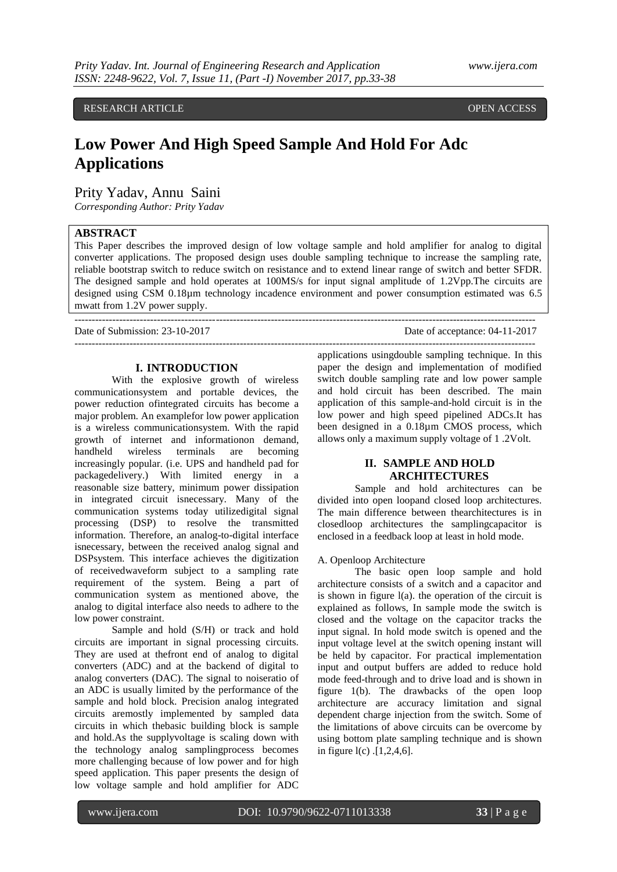## RESEARCH ARTICLE **CONTRACT ARTICLE**

# **Low Power And High Speed Sample And Hold For Adc Applications**

## Prity Yadav, Annu Saini

*Corresponding Author: Prity Yadav*

## **ABSTRACT**

This Paper describes the improved design of low voltage sample and hold amplifier for analog to digital converter applications. The proposed design uses double sampling technique to increase the sampling rate, reliable bootstrap switch to reduce switch on resistance and to extend linear range of switch and better SFDR. The designed sample and hold operates at 100MS/s for input signal amplitude of 1.2Vpp.The circuits are designed using CSM 0.18µm technology incadence environment and power consumption estimated was 6.5 mwatt from 1.2V power supply.

--------------------------------------------------------------------------------------------------------------------------------------

Date of Submission: 23-10-2017 Date of acceptance: 04-11-2017

#### **I. INTRODUCTION**

With the explosive growth of wireless communicationsystem and portable devices, the power reduction ofintegrated circuits has become a major problem. An examplefor low power application is a wireless communicationsystem. With the rapid growth of internet and informationon demand, handheld wireless terminals are becoming increasingly popular. (i.e. UPS and handheld pad for packagedelivery.) With limited energy in a reasonable size battery, minimum power dissipation in integrated circuit isnecessary. Many of the communication systems today utilizedigital signal processing (DSP) to resolve the transmitted information. Therefore, an analog-to-digital interface isnecessary, between the received analog signal and DSPsystem. This interface achieves the digitization of receivedwaveform subject to a sampling rate requirement of the system. Being a part of communication system as mentioned above, the analog to digital interface also needs to adhere to the low power constraint.

Sample and hold (S/H) or track and hold circuits are important in signal processing circuits. They are used at thefront end of analog to digital converters (ADC) and at the backend of digital to analog converters (DAC). The signal to noiseratio of an ADC is usually limited by the performance of the sample and hold block. Precision analog integrated circuits aremostly implemented by sampled data circuits in which thebasic building block is sample and hold.As the supplyvoltage is scaling down with the technology analog samplingprocess becomes more challenging because of low power and for high speed application. This paper presents the design of low voltage sample and hold amplifier for ADC

applications usingdouble sampling technique. In this paper the design and implementation of modified switch double sampling rate and low power sample and hold circuit has been described. The main application of this sample-and-hold circuit is in the low power and high speed pipelined ADCs.It has been designed in a 0.18µm CMOS process, which allows only a maximum supply voltage of 1 .2Volt.

--------------------------------------------------------------------------------------------------------------------------------------

### **II. SAMPLE AND HOLD ARCHITECTURES**

Sample and hold architectures can be divided into open loopand closed loop architectures. The main difference between thearchitectures is in closedloop architectures the samplingcapacitor is enclosed in a feedback loop at least in hold mode.

A. Openloop Architecture

The basic open loop sample and hold architecture consists of a switch and a capacitor and is shown in figure l(a). the operation of the circuit is explained as follows, In sample mode the switch is closed and the voltage on the capacitor tracks the input signal. In hold mode switch is opened and the input voltage level at the switch opening instant will be held by capacitor. For practical implementation input and output buffers are added to reduce hold mode feed-through and to drive load and is shown in figure 1(b). The drawbacks of the open loop architecture are accuracy limitation and signal dependent charge injection from the switch. Some of the limitations of above circuits can be overcome by using bottom plate sampling technique and is shown in figure l(c) .[1,2,4,6].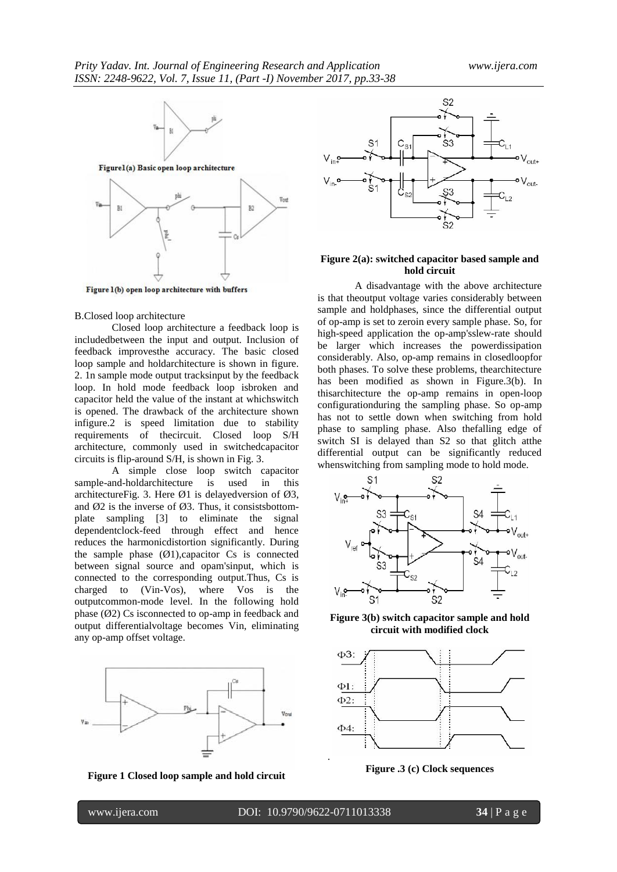

Figure 1(b) open loop architecture with buffers

#### B.Closed loop architecture

Closed loop architecture a feedback loop is includedbetween the input and output. Inclusion of feedback improvesthe accuracy. The basic closed loop sample and holdarchitecture is shown in figure. 2. 1n sample mode output tracksinput by the feedback loop. In hold mode feedback loop isbroken and capacitor held the value of the instant at whichswitch is opened. The drawback of the architecture shown infigure.2 is speed limitation due to stability requirements of thecircuit. Closed loop S/H architecture, commonly used in switchedcapacitor circuits is flip-around S/H, is shown in Fig. 3.

A simple close loop switch capacitor sample-and-holdarchitecture is used in this architectureFig. 3. Here  $\varnothing$ 1 is delayedversion of  $\varnothing$ 3, and  $\varnothing$ 2 is the inverse of  $\varnothing$ 3. Thus, it consistsbottomplate sampling [3] to eliminate the signal dependentclock-feed through effect and hence reduces the harmonicdistortion significantly. During the sample phase  $(\emptyset 1)$ , capacitor Cs is connected between signal source and opam'sinput, which is connected to the corresponding output.Thus, Cs is charged to (Vin-Vos), where Vos is the outputcommon-mode level. In the following hold phase  $(\emptyset 2)$  Cs is connected to op-amp in feedback and output differentialvoltage becomes Vin, eliminating any op-amp offset voltage.



**Figure 1 Closed loop sample and hold circuit**



#### **Figure 2(a): switched capacitor based sample and hold circuit**

A disadvantage with the above architecture is that theoutput voltage varies considerably between sample and holdphases, since the differential output of op-amp is set to zeroin every sample phase. So, for high-speed application the op-amp'sslew-rate should be larger which increases the powerdissipation considerably. Also, op-amp remains in closedloopfor both phases. To solve these problems, thearchitecture has been modified as shown in Figure.3(b). In thisarchitecture the op-amp remains in open-loop configurationduring the sampling phase. So op-amp has not to settle down when switching from hold phase to sampling phase. Also thefalling edge of switch SI is delayed than S2 so that glitch atthe differential output can be significantly reduced whenswitching from sampling mode to hold mode.



**Figure 3(b) switch capacitor sample and hold circuit with modified clock**



**Figure .3 (c) Clock sequences**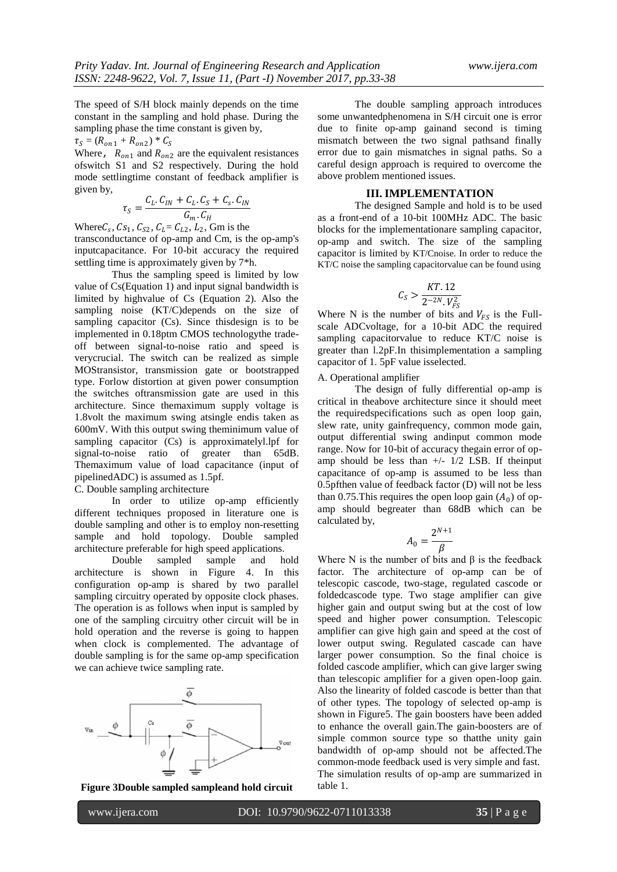The speed of S/H block mainly depends on the time constant in the sampling and hold phase. During the sampling phase the time constant is given by,

 $\tau_S = (R_{on1} + R_{on2}) * C_S$ 

Where,  $R_{on1}$  and  $R_{on2}$  are the equivalent resistances ofswitch S1 and S2 respectively. During the hold mode settlingtime constant of feedback amplifier is given by,

$$
\tau_S = \frac{C_L.C_{IN} + C_L.C_S + C_S.C_{IN}}{G_m.C_H}
$$

Where  $C_s$ ,  $Cs_1$ ,  $C_{s2}$ ,  $C_L = C_{L2}$ ,  $L_2$ , Gm is the transconductance of op-amp and Cm, is the op-amp's inputcapacitance. For 10-bit accuracy the required settling time is approximately given by 7\*h.

Thus the sampling speed is limited by low value of Cs(Equation 1) and input signal bandwidth is limited by highvalue of Cs (Equation 2). Also the sampling noise (KT/C)depends on the size of sampling capacitor (Cs). Since thisdesign is to be implemented in 0.18ptm CMOS technologythe tradeoff between signal-to-noise ratio and speed is verycrucial. The switch can be realized as simple MOStransistor, transmission gate or bootstrapped type. Forlow distortion at given power consumption the switches oftransmission gate are used in this architecture. Since themaximum supply voltage is 1.8volt the maximum swing atsingle endis taken as 600mV. With this output swing theminimum value of sampling capacitor (Cs) is approximatelyl.lpf for signal-to-noise ratio of greater than 65dB. Themaximum value of load capacitance (input of pipelinedADC) is assumed as 1.5pf.

C. Double sampling architecture

In order to utilize op-amp efficiently different techniques proposed in literature one is double sampling and other is to employ non-resetting sample and hold topology. Double sampled architecture preferable for high speed applications.

Double sampled sample and hold architecture is shown in Figure 4. In this configuration op-amp is shared by two parallel sampling circuitry operated by opposite clock phases. The operation is as follows when input is sampled by one of the sampling circuitry other circuit will be in hold operation and the reverse is going to happen when clock is complemented. The advantage of double sampling is for the same op-amp specification we can achieve twice sampling rate.





The double sampling approach introduces some unwantedphenomena in S/H circuit one is error due to finite op-amp gainand second is timing mismatch between the two signal pathsand finally error due to gain mismatches in signal paths. So a careful design approach is required to overcome the above problem mentioned issues.

#### **III. IMPLEMENTATION**

The designed Sample and hold is to be used as a front-end of a 10-bit 100MHz ADC. The basic blocks for the implementationare sampling capacitor, op-amp and switch. The size of the sampling capacitor is limited by KT/Cnoise. In order to reduce the KT/C noise the sampling capacitorvalue can be found using

$$
C_S > \frac{KT.12}{2^{-2N}.V_{FS}^2}
$$

Where N is the number of bits and  $V_{FS}$  is the Fullscale ADCvoltage, for a 10-bit ADC the required sampling capacitorvalue to reduce KT/C noise is greater than l.2pF.In thisimplementation a sampling capacitor of 1. 5pF value isselected.

A. Operational amplifier

The design of fully differential op-amp is critical in theabove architecture since it should meet the requiredspecifications such as open loop gain, slew rate, unity gainfrequency, common mode gain, output differential swing andinput common mode range. Now for 10-bit of accuracy thegain error of opamp should be less than  $+/- 1/2$  LSB. If theinput capacitance of op-amp is assumed to be less than 0.5pfthen value of feedback factor (D) will not be less than 0.75. This requires the open loop gain  $(A_0)$  of opamp should begreater than 68dB which can be calculated by,

$$
A_0 = \frac{2^{N+1}}{\beta}
$$

Where N is the number of bits and  $\beta$  is the feedback factor. The architecture of op-amp can be of telescopic cascode, two-stage, regulated cascode or foldedcascode type. Two stage amplifier can give higher gain and output swing but at the cost of low speed and higher power consumption. Telescopic amplifier can give high gain and speed at the cost of lower output swing. Regulated cascade can have larger power consumption. So the final choice is folded cascode amplifier, which can give larger swing than telescopic amplifier for a given open-loop gain. Also the linearity of folded cascode is better than that of other types. The topology of selected op-amp is shown in Figure5. The gain boosters have been added to enhance the overall gain.The gain-boosters are of simple common source type so thatthe unity gain bandwidth of op-amp should not be affected.The common-mode feedback used is very simple and fast. The simulation results of op-amp are summarized in table 1.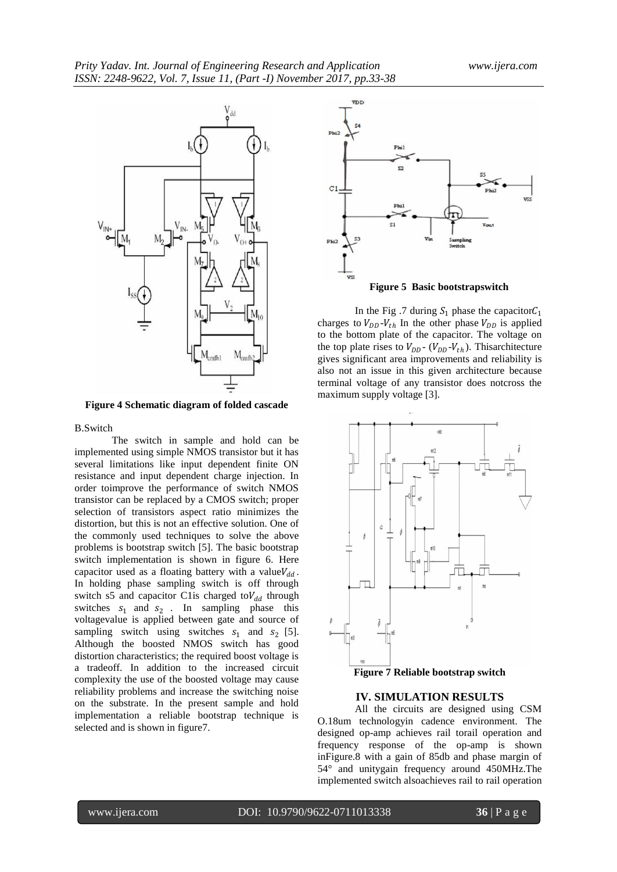

**Figure 4 Schematic diagram of folded cascade**

#### B.Switch

The switch in sample and hold can be implemented using simple NMOS transistor but it has several limitations like input dependent finite ON resistance and input dependent charge injection. In order toimprove the performance of switch NMOS transistor can be replaced by a CMOS switch; proper selection of transistors aspect ratio minimizes the distortion, but this is not an effective solution. One of the commonly used techniques to solve the above problems is bootstrap switch [5]. The basic bootstrap switch implementation is shown in figure 6. Here capacitor used as a floating battery with a value $V_{dd}$ . In holding phase sampling switch is off through switch s5 and capacitor C1is charged to  $V_{dd}$  through switches  $s_1$  and  $s_2$ . In sampling phase this voltagevalue is applied between gate and source of sampling switch using switches  $s_1$  and  $s_2$  [5]. Although the boosted NMOS switch has good distortion characteristics; the required boost voltage is a tradeoff. In addition to the increased circuit complexity the use of the boosted voltage may cause reliability problems and increase the switching noise on the substrate. In the present sample and hold implementation a reliable bootstrap technique is selected and is shown in figure7.



In the Fig. 7 during  $S_1$  phase the capacitor  $C_1$ charges to  $V_{DD}$ - $V_{th}$  In the other phase  $V_{DD}$  is applied to the bottom plate of the capacitor. The voltage on the top plate rises to  $V_{DD}$  - ( $V_{DD}$ - $V_{th}$ ). This architecture gives significant area improvements and reliability is also not an issue in this given architecture because terminal voltage of any transistor does notcross the maximum supply voltage [3].



#### **IV. SIMULATION RESULTS**

All the circuits are designed using CSM O.18um technologyin cadence environment. The designed op-amp achieves rail torail operation and frequency response of the op-amp is shown inFigure.8 with a gain of 85db and phase margin of 54° and unitygain frequency around 450MHz.The implemented switch alsoachieves rail to rail operation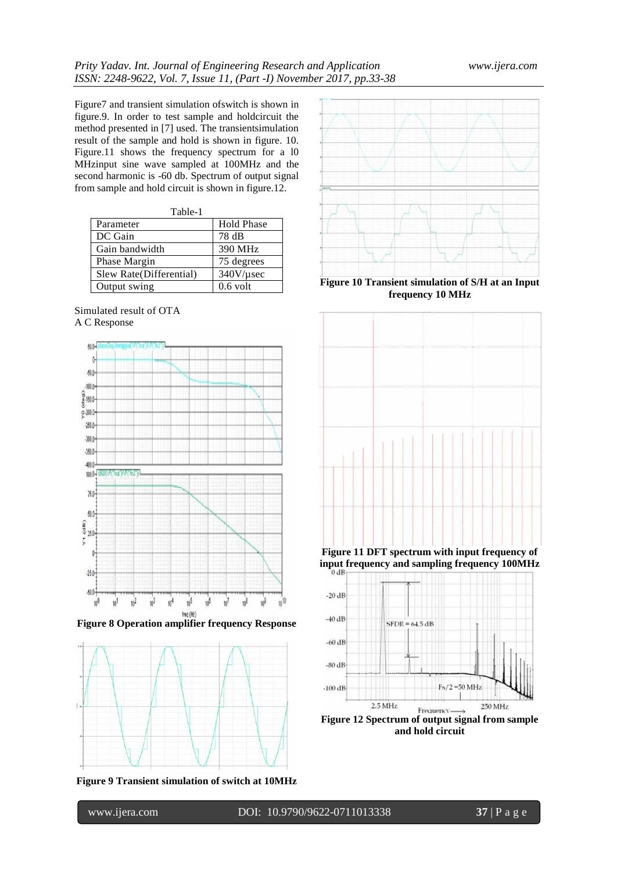Figure7 and transient simulation ofswitch is shown in figure.9. In order to test sample and holdcircuit the method presented in [7] used. The transientsimulation result of the sample and hold is shown in figure. 10. Figure.11 shows the frequency spectrum for a l0 MHzinput sine wave sampled at 100MHz and the second harmonic is -60 db. Spectrum of output signal from sample and hold circuit is shown in figure.12.

| Table-1                  |                   |  |  |  |  |
|--------------------------|-------------------|--|--|--|--|
| Parameter                | <b>Hold Phase</b> |  |  |  |  |
| DC Gain                  | 78 dB             |  |  |  |  |
| Gain bandwidth           | 390 MHz           |  |  |  |  |
| Phase Margin             | 75 degrees        |  |  |  |  |
| Slew Rate (Differential) | $340V/\mu$ sec    |  |  |  |  |
| Output swing             | $0.6$ volt        |  |  |  |  |





**Figure 8 Operation amplifier frequency Response**



**Figure 9 Transient simulation of switch at 10MHz**



**Figure 10 Transient simulation of S/H at an Input frequency 10 MHz**



**input frequency and sampling frequency 100MHz**



**and hold circuit**